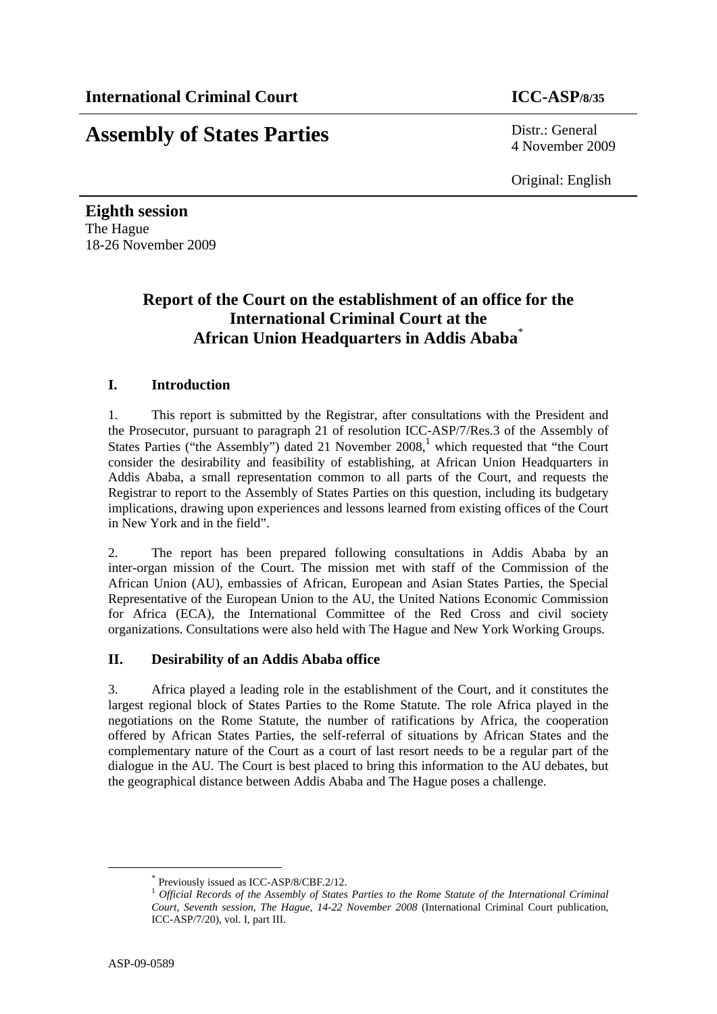# **Assembly of States Parties** Distr.: General

4 November 2009

Original: English

**Eighth session**  The Hague 18-26 November 2009

# **Report of the Court on the establishment of an office for the International Criminal Court at the African Union Headquarters in Addis Ababa**\*

# **I. Introduction**

1. This report is submitted by the Registrar, after consultations with the President and the Prosecutor, pursuant to paragraph 21 of resolution ICC-ASP/7/Res.3 of the Assembly of States Parties ("the Assembly") dated 21 November  $2008$ ,<sup>1</sup> which requested that "the Court consider the desirability and feasibility of establishing, at African Union Headquarters in Addis Ababa, a small representation common to all parts of the Court, and requests the Registrar to report to the Assembly of States Parties on this question, including its budgetary implications, drawing upon experiences and lessons learned from existing offices of the Court in New York and in the field".

2. The report has been prepared following consultations in Addis Ababa by an inter-organ mission of the Court. The mission met with staff of the Commission of the African Union (AU), embassies of African, European and Asian States Parties, the Special Representative of the European Union to the AU, the United Nations Economic Commission for Africa (ECA), the International Committee of the Red Cross and civil society organizations. Consultations were also held with The Hague and New York Working Groups.

# **II. Desirability of an Addis Ababa office**

3. Africa played a leading role in the establishment of the Court, and it constitutes the largest regional block of States Parties to the Rome Statute. The role Africa played in the negotiations on the Rome Statute, the number of ratifications by Africa, the cooperation offered by African States Parties, the self-referral of situations by African States and the complementary nature of the Court as a court of last resort needs to be a regular part of the dialogue in the AU. The Court is best placed to bring this information to the AU debates, but the geographical distance between Addis Ababa and The Hague poses a challenge.

 <sup>\*</sup> Previously issued as ICC-ASP/8/CBF.2/12.

<sup>1</sup> *Official Records of the Assembly of States Parties to the Rome Statute of the International Criminal Court, Seventh session, The Hague, 14-22 November 2008* (International Criminal Court publication, ICC-ASP/7/20), vol. I, part III.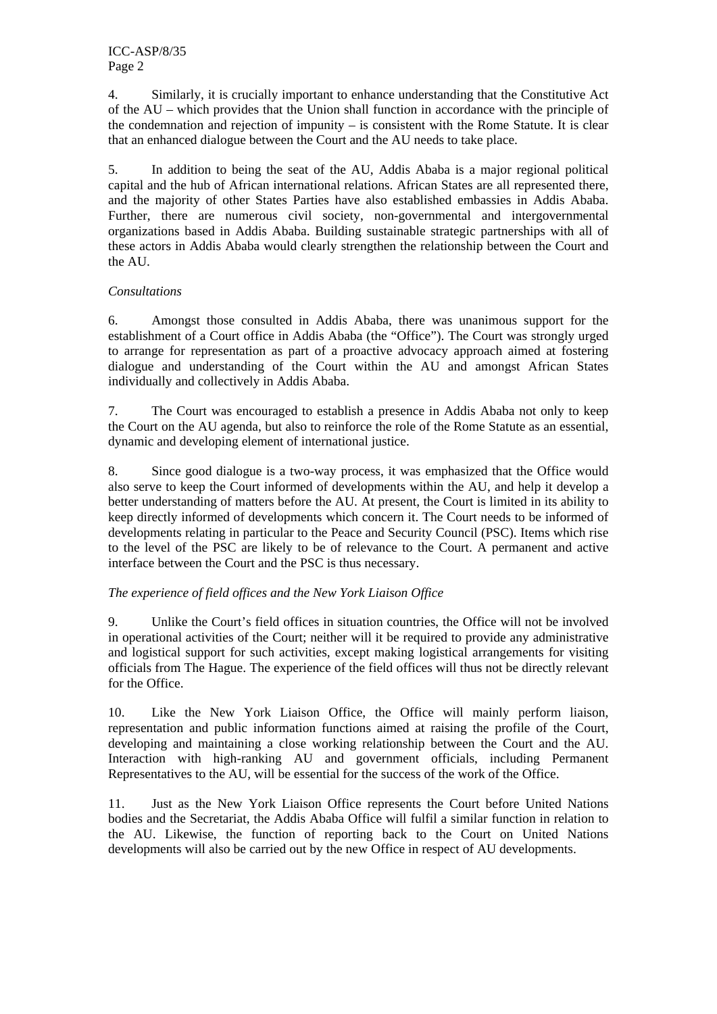4. Similarly, it is crucially important to enhance understanding that the Constitutive Act of the AU – which provides that the Union shall function in accordance with the principle of the condemnation and rejection of impunity – is consistent with the Rome Statute. It is clear that an enhanced dialogue between the Court and the AU needs to take place.

5. In addition to being the seat of the AU, Addis Ababa is a major regional political capital and the hub of African international relations. African States are all represented there, and the majority of other States Parties have also established embassies in Addis Ababa. Further, there are numerous civil society, non-governmental and intergovernmental organizations based in Addis Ababa. Building sustainable strategic partnerships with all of these actors in Addis Ababa would clearly strengthen the relationship between the Court and the AU.

#### *Consultations*

6. Amongst those consulted in Addis Ababa, there was unanimous support for the establishment of a Court office in Addis Ababa (the "Office"). The Court was strongly urged to arrange for representation as part of a proactive advocacy approach aimed at fostering dialogue and understanding of the Court within the AU and amongst African States individually and collectively in Addis Ababa.

7. The Court was encouraged to establish a presence in Addis Ababa not only to keep the Court on the AU agenda, but also to reinforce the role of the Rome Statute as an essential, dynamic and developing element of international justice.

8. Since good dialogue is a two-way process, it was emphasized that the Office would also serve to keep the Court informed of developments within the AU, and help it develop a better understanding of matters before the AU. At present, the Court is limited in its ability to keep directly informed of developments which concern it. The Court needs to be informed of developments relating in particular to the Peace and Security Council (PSC). Items which rise to the level of the PSC are likely to be of relevance to the Court. A permanent and active interface between the Court and the PSC is thus necessary.

# *The experience of field offices and the New York Liaison Office*

9. Unlike the Court's field offices in situation countries, the Office will not be involved in operational activities of the Court; neither will it be required to provide any administrative and logistical support for such activities, except making logistical arrangements for visiting officials from The Hague. The experience of the field offices will thus not be directly relevant for the Office.

10. Like the New York Liaison Office, the Office will mainly perform liaison, representation and public information functions aimed at raising the profile of the Court, developing and maintaining a close working relationship between the Court and the AU. Interaction with high-ranking AU and government officials, including Permanent Representatives to the AU, will be essential for the success of the work of the Office.

11. Just as the New York Liaison Office represents the Court before United Nations bodies and the Secretariat, the Addis Ababa Office will fulfil a similar function in relation to the AU. Likewise, the function of reporting back to the Court on United Nations developments will also be carried out by the new Office in respect of AU developments.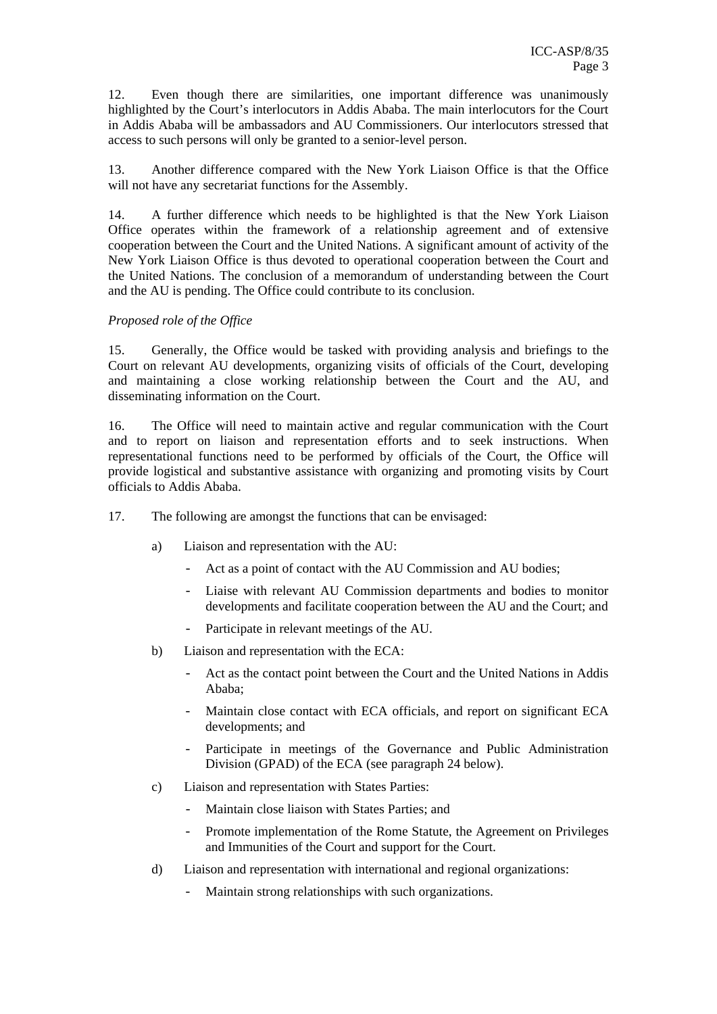12. Even though there are similarities, one important difference was unanimously highlighted by the Court's interlocutors in Addis Ababa. The main interlocutors for the Court in Addis Ababa will be ambassadors and AU Commissioners. Our interlocutors stressed that access to such persons will only be granted to a senior-level person.

13. Another difference compared with the New York Liaison Office is that the Office will not have any secretariat functions for the Assembly.

14. A further difference which needs to be highlighted is that the New York Liaison Office operates within the framework of a relationship agreement and of extensive cooperation between the Court and the United Nations. A significant amount of activity of the New York Liaison Office is thus devoted to operational cooperation between the Court and the United Nations. The conclusion of a memorandum of understanding between the Court and the AU is pending. The Office could contribute to its conclusion.

#### *Proposed role of the Office*

15. Generally, the Office would be tasked with providing analysis and briefings to the Court on relevant AU developments, organizing visits of officials of the Court, developing and maintaining a close working relationship between the Court and the AU, and disseminating information on the Court.

16. The Office will need to maintain active and regular communication with the Court and to report on liaison and representation efforts and to seek instructions. When representational functions need to be performed by officials of the Court, the Office will provide logistical and substantive assistance with organizing and promoting visits by Court officials to Addis Ababa.

- 17. The following are amongst the functions that can be envisaged:
	- a) Liaison and representation with the AU:
		- Act as a point of contact with the AU Commission and AU bodies;
		- Liaise with relevant AU Commission departments and bodies to monitor developments and facilitate cooperation between the AU and the Court; and
		- Participate in relevant meetings of the AU.
	- b) Liaison and representation with the ECA:
		- Act as the contact point between the Court and the United Nations in Addis Ababa;
		- Maintain close contact with ECA officials, and report on significant ECA developments; and
		- Participate in meetings of the Governance and Public Administration Division (GPAD) of the ECA (see paragraph 24 below).
	- c) Liaison and representation with States Parties:
		- Maintain close liaison with States Parties; and
		- Promote implementation of the Rome Statute, the Agreement on Privileges and Immunities of the Court and support for the Court.
	- d) Liaison and representation with international and regional organizations:
		- Maintain strong relationships with such organizations.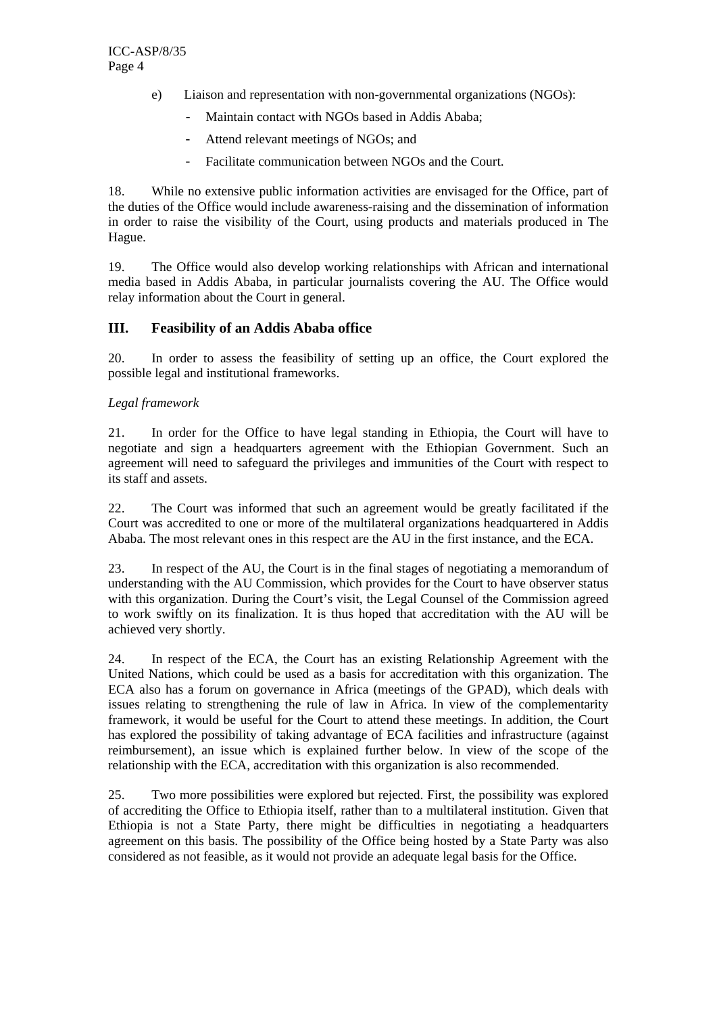- e) Liaison and representation with non-governmental organizations (NGOs):
	- Maintain contact with NGOs based in Addis Ababa;
	- Attend relevant meetings of NGOs; and
	- Facilitate communication between NGOs and the Court.

18. While no extensive public information activities are envisaged for the Office, part of the duties of the Office would include awareness-raising and the dissemination of information in order to raise the visibility of the Court, using products and materials produced in The Hague.

19. The Office would also develop working relationships with African and international media based in Addis Ababa, in particular journalists covering the AU. The Office would relay information about the Court in general.

#### **III. Feasibility of an Addis Ababa office**

20. In order to assess the feasibility of setting up an office, the Court explored the possible legal and institutional frameworks.

#### *Legal framework*

21. In order for the Office to have legal standing in Ethiopia, the Court will have to negotiate and sign a headquarters agreement with the Ethiopian Government. Such an agreement will need to safeguard the privileges and immunities of the Court with respect to its staff and assets.

22. The Court was informed that such an agreement would be greatly facilitated if the Court was accredited to one or more of the multilateral organizations headquartered in Addis Ababa. The most relevant ones in this respect are the AU in the first instance, and the ECA.

23. In respect of the AU, the Court is in the final stages of negotiating a memorandum of understanding with the AU Commission, which provides for the Court to have observer status with this organization. During the Court's visit, the Legal Counsel of the Commission agreed to work swiftly on its finalization. It is thus hoped that accreditation with the AU will be achieved very shortly.

24. In respect of the ECA, the Court has an existing Relationship Agreement with the United Nations, which could be used as a basis for accreditation with this organization. The ECA also has a forum on governance in Africa (meetings of the GPAD), which deals with issues relating to strengthening the rule of law in Africa. In view of the complementarity framework, it would be useful for the Court to attend these meetings. In addition, the Court has explored the possibility of taking advantage of ECA facilities and infrastructure (against reimbursement), an issue which is explained further below. In view of the scope of the relationship with the ECA, accreditation with this organization is also recommended.

25. Two more possibilities were explored but rejected. First, the possibility was explored of accrediting the Office to Ethiopia itself, rather than to a multilateral institution. Given that Ethiopia is not a State Party, there might be difficulties in negotiating a headquarters agreement on this basis. The possibility of the Office being hosted by a State Party was also considered as not feasible, as it would not provide an adequate legal basis for the Office.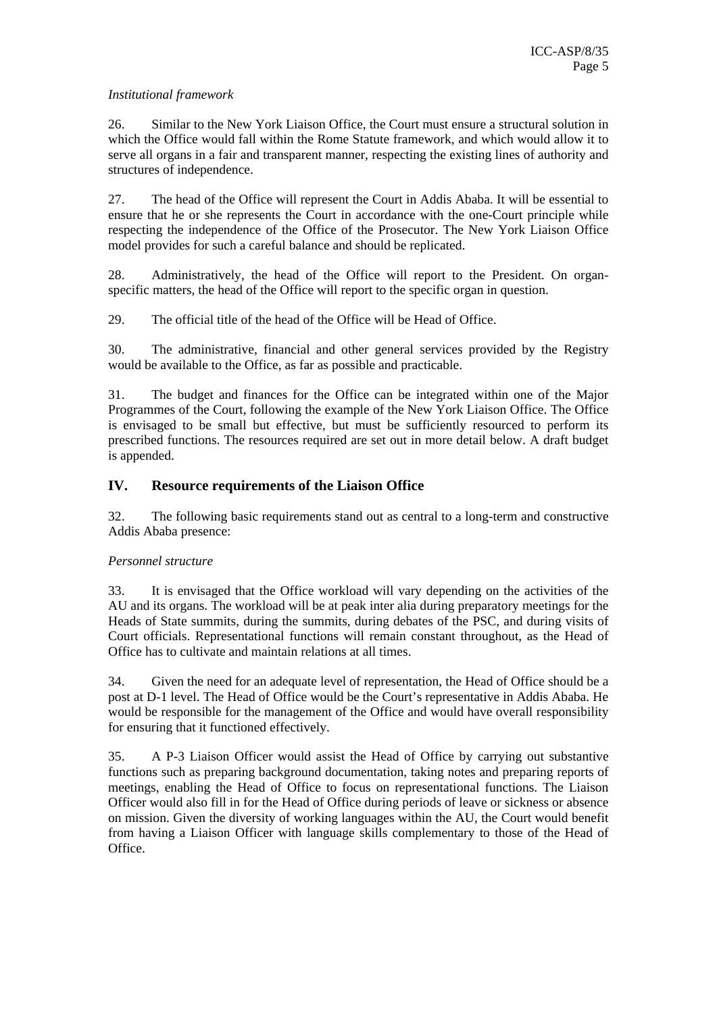#### *Institutional framework*

26. Similar to the New York Liaison Office, the Court must ensure a structural solution in which the Office would fall within the Rome Statute framework, and which would allow it to serve all organs in a fair and transparent manner, respecting the existing lines of authority and structures of independence.

27. The head of the Office will represent the Court in Addis Ababa. It will be essential to ensure that he or she represents the Court in accordance with the one-Court principle while respecting the independence of the Office of the Prosecutor. The New York Liaison Office model provides for such a careful balance and should be replicated.

28. Administratively, the head of the Office will report to the President. On organspecific matters, the head of the Office will report to the specific organ in question.

29. The official title of the head of the Office will be Head of Office.

30. The administrative, financial and other general services provided by the Registry would be available to the Office, as far as possible and practicable.

31. The budget and finances for the Office can be integrated within one of the Major Programmes of the Court, following the example of the New York Liaison Office. The Office is envisaged to be small but effective, but must be sufficiently resourced to perform its prescribed functions. The resources required are set out in more detail below. A draft budget is appended.

#### **IV. Resource requirements of the Liaison Office**

32. The following basic requirements stand out as central to a long-term and constructive Addis Ababa presence:

#### *Personnel structure*

33. It is envisaged that the Office workload will vary depending on the activities of the AU and its organs. The workload will be at peak inter alia during preparatory meetings for the Heads of State summits, during the summits, during debates of the PSC, and during visits of Court officials. Representational functions will remain constant throughout, as the Head of Office has to cultivate and maintain relations at all times.

34. Given the need for an adequate level of representation, the Head of Office should be a post at D-1 level. The Head of Office would be the Court's representative in Addis Ababa. He would be responsible for the management of the Office and would have overall responsibility for ensuring that it functioned effectively.

35. A P-3 Liaison Officer would assist the Head of Office by carrying out substantive functions such as preparing background documentation, taking notes and preparing reports of meetings, enabling the Head of Office to focus on representational functions. The Liaison Officer would also fill in for the Head of Office during periods of leave or sickness or absence on mission. Given the diversity of working languages within the AU, the Court would benefit from having a Liaison Officer with language skills complementary to those of the Head of Office.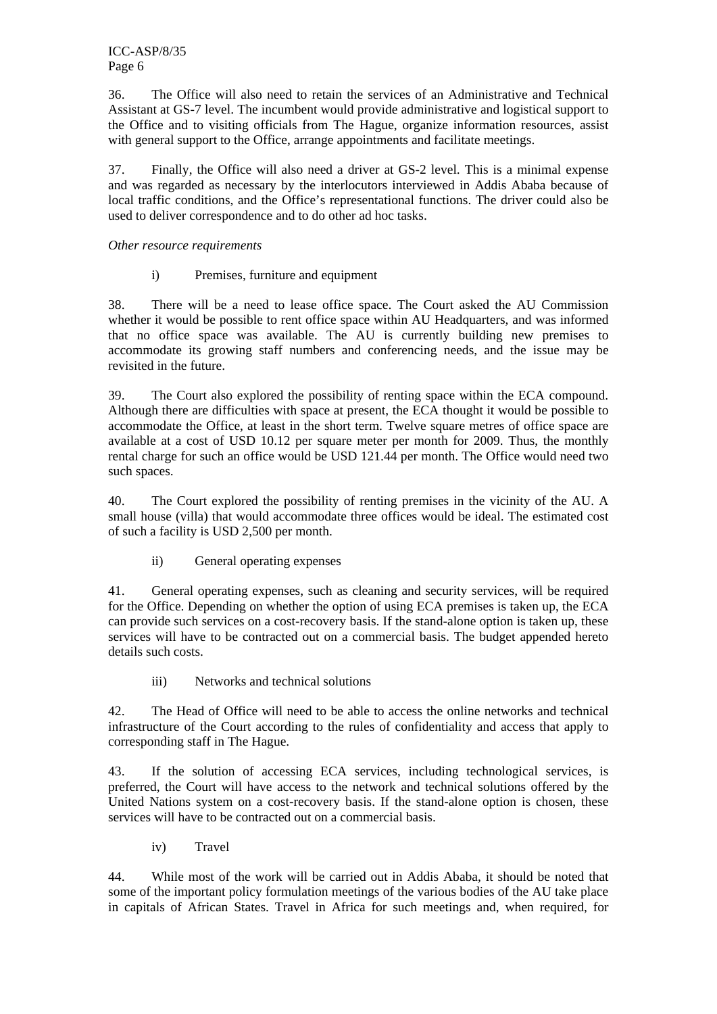36. The Office will also need to retain the services of an Administrative and Technical Assistant at GS-7 level. The incumbent would provide administrative and logistical support to the Office and to visiting officials from The Hague, organize information resources, assist with general support to the Office, arrange appointments and facilitate meetings.

37. Finally, the Office will also need a driver at GS-2 level. This is a minimal expense and was regarded as necessary by the interlocutors interviewed in Addis Ababa because of local traffic conditions, and the Office's representational functions. The driver could also be used to deliver correspondence and to do other ad hoc tasks.

#### *Other resource requirements*

i) Premises, furniture and equipment

38. There will be a need to lease office space. The Court asked the AU Commission whether it would be possible to rent office space within AU Headquarters, and was informed that no office space was available. The AU is currently building new premises to accommodate its growing staff numbers and conferencing needs, and the issue may be revisited in the future.

39. The Court also explored the possibility of renting space within the ECA compound. Although there are difficulties with space at present, the ECA thought it would be possible to accommodate the Office, at least in the short term. Twelve square metres of office space are available at a cost of USD 10.12 per square meter per month for 2009. Thus, the monthly rental charge for such an office would be USD 121.44 per month. The Office would need two such spaces.

40. The Court explored the possibility of renting premises in the vicinity of the AU. A small house (villa) that would accommodate three offices would be ideal. The estimated cost of such a facility is USD 2,500 per month.

ii) General operating expenses

41. General operating expenses, such as cleaning and security services, will be required for the Office. Depending on whether the option of using ECA premises is taken up, the ECA can provide such services on a cost-recovery basis. If the stand-alone option is taken up, these services will have to be contracted out on a commercial basis. The budget appended hereto details such costs.

iii) Networks and technical solutions

42. The Head of Office will need to be able to access the online networks and technical infrastructure of the Court according to the rules of confidentiality and access that apply to corresponding staff in The Hague.

43. If the solution of accessing ECA services, including technological services, is preferred, the Court will have access to the network and technical solutions offered by the United Nations system on a cost-recovery basis. If the stand-alone option is chosen, these services will have to be contracted out on a commercial basis.

iv) Travel

44. While most of the work will be carried out in Addis Ababa, it should be noted that some of the important policy formulation meetings of the various bodies of the AU take place in capitals of African States. Travel in Africa for such meetings and, when required, for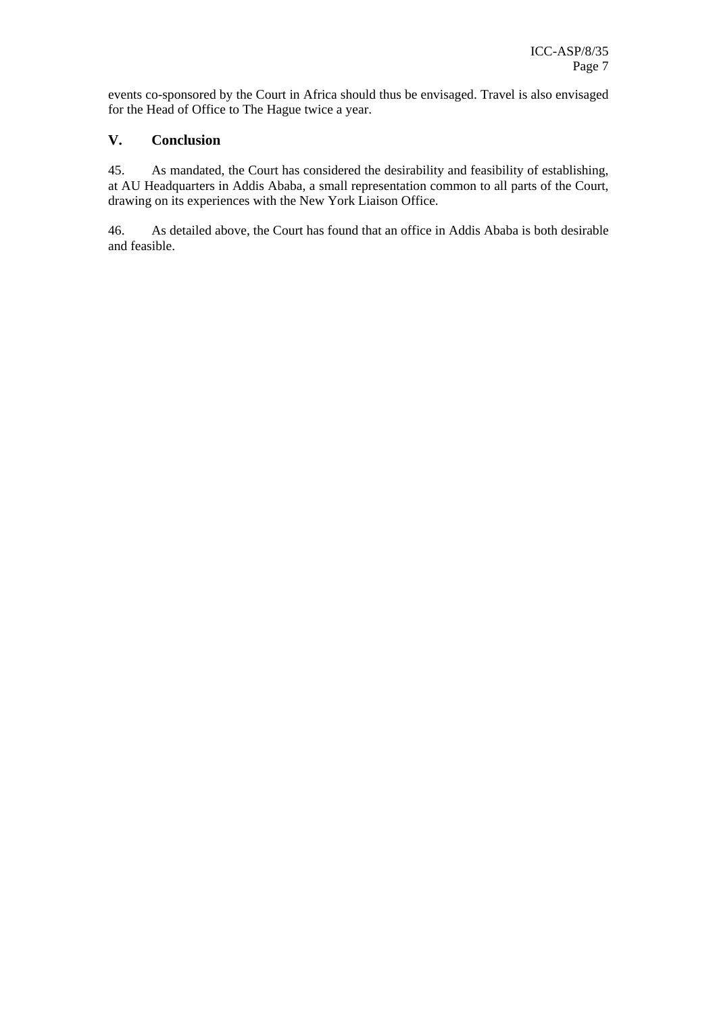events co-sponsored by the Court in Africa should thus be envisaged. Travel is also envisaged for the Head of Office to The Hague twice a year.

#### **V. Conclusion**

45. As mandated, the Court has considered the desirability and feasibility of establishing, at AU Headquarters in Addis Ababa, a small representation common to all parts of the Court, drawing on its experiences with the New York Liaison Office.

46. As detailed above, the Court has found that an office in Addis Ababa is both desirable and feasible.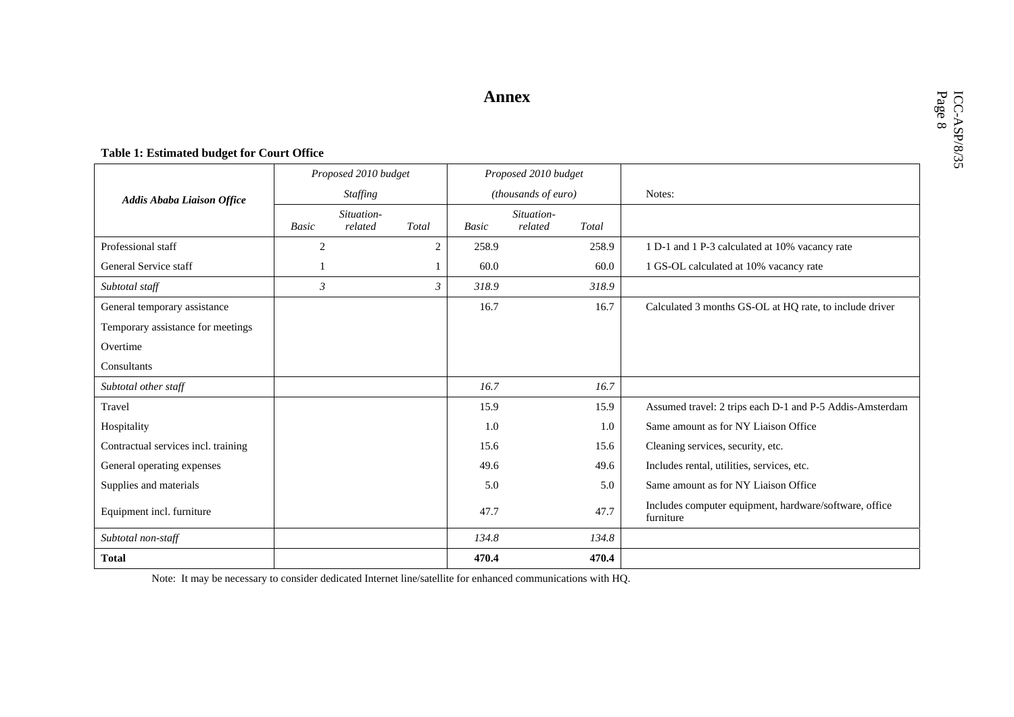### **Annex**

#### **Table 1: Estimated budget for Court Office**

|                                     |                 | Proposed 2010 budget |                | Proposed 2010 budget       |         |       |                                                                     |
|-------------------------------------|-----------------|----------------------|----------------|----------------------------|---------|-------|---------------------------------------------------------------------|
| <b>Addis Ababa Liaison Office</b>   | <b>Staffing</b> |                      |                | <i>(thousands of euro)</i> |         |       | Notes:                                                              |
|                                     | Situation-      |                      |                | Situation-                 |         |       |                                                                     |
|                                     | <b>Basic</b>    | related              | Total          | Basic                      | related | Total |                                                                     |
| Professional staff                  | $\overline{2}$  |                      | $\overline{2}$ | 258.9                      |         | 258.9 | 1 D-1 and 1 P-3 calculated at 10% vacancy rate                      |
| General Service staff               |                 |                      |                | 60.0                       |         | 60.0  | 1 GS-OL calculated at 10% vacancy rate                              |
| Subtotal staff                      | $\mathfrak{Z}$  |                      | $\mathfrak{Z}$ | 318.9                      |         | 318.9 |                                                                     |
| General temporary assistance        |                 |                      |                | 16.7                       |         | 16.7  | Calculated 3 months GS-OL at HQ rate, to include driver             |
| Temporary assistance for meetings   |                 |                      |                |                            |         |       |                                                                     |
| Overtime                            |                 |                      |                |                            |         |       |                                                                     |
| Consultants                         |                 |                      |                |                            |         |       |                                                                     |
| Subtotal other staff                |                 |                      |                | 16.7                       |         | 16.7  |                                                                     |
| Travel                              |                 |                      |                | 15.9                       |         | 15.9  | Assumed travel: 2 trips each D-1 and P-5 Addis-Amsterdam            |
| Hospitality                         |                 |                      |                | 1.0                        |         | 1.0   | Same amount as for NY Liaison Office                                |
| Contractual services incl. training |                 |                      |                | 15.6                       |         | 15.6  | Cleaning services, security, etc.                                   |
| General operating expenses          |                 |                      |                | 49.6                       |         | 49.6  | Includes rental, utilities, services, etc.                          |
| Supplies and materials              |                 |                      |                | 5.0                        |         | 5.0   | Same amount as for NY Liaison Office                                |
| Equipment incl. furniture           |                 |                      |                | 47.7                       |         | 47.7  | Includes computer equipment, hardware/software, office<br>furniture |
| Subtotal non-staff                  |                 |                      |                | 134.8                      |         | 134.8 |                                                                     |
| <b>Total</b>                        |                 |                      |                | 470.4                      |         | 470.4 |                                                                     |

Note: It may be necessary to consider dedicated Internet line/satellite for enhanced communications with HQ.